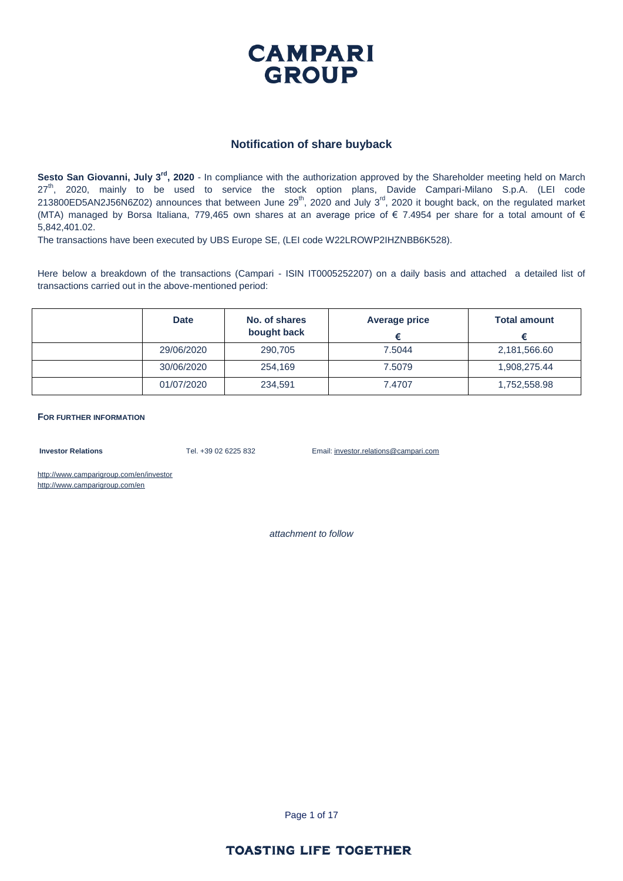

#### **Notification of share buyback**

Sesto San Giovanni, July 3<sup>rd</sup>, 2020 - In compliance with the authorization approved by the Shareholder meeting held on March 27<sup>th</sup>, 2020, mainly to be used to service the stock option plans, Davide Campari-Milano S.p.A. (LEI code 213800ED5AN2J56N6Z02) announces that between June 29<sup>th</sup>, 2020 and July 3<sup>rd</sup>, 2020 it bought back, on the regulated market (MTA) managed by Borsa Italiana, 779,465 own shares at an average price of € 7.4954 per share for a total amount of € 5,842,401.02.

The transactions have been executed by UBS Europe SE, (LEI code W22LROWP2IHZNBB6K528).

Here below a breakdown of the transactions (Campari - ISIN IT0005252207) on a daily basis and attached a detailed list of transactions carried out in the above-mentioned period:

| <b>Date</b> | No. of shares<br>bought back | Average price | <b>Total amount</b> |
|-------------|------------------------------|---------------|---------------------|
| 29/06/2020  | 290,705                      | 7.5044        | 2,181,566.60        |
| 30/06/2020  | 254,169                      | 7.5079        | 1,908,275.44        |
| 01/07/2020  | 234,591                      | 7.4707        | 1,752,558.98        |

**FOR FURTHER INFORMATION**

**Investor Relations** Tel. +39 02 6225 832 Email: investor.relations@campari.com

http://www.camparigroup.com/en/investor http://www.camparigroup.com/en

*attachment to follow*

Page 1 of 17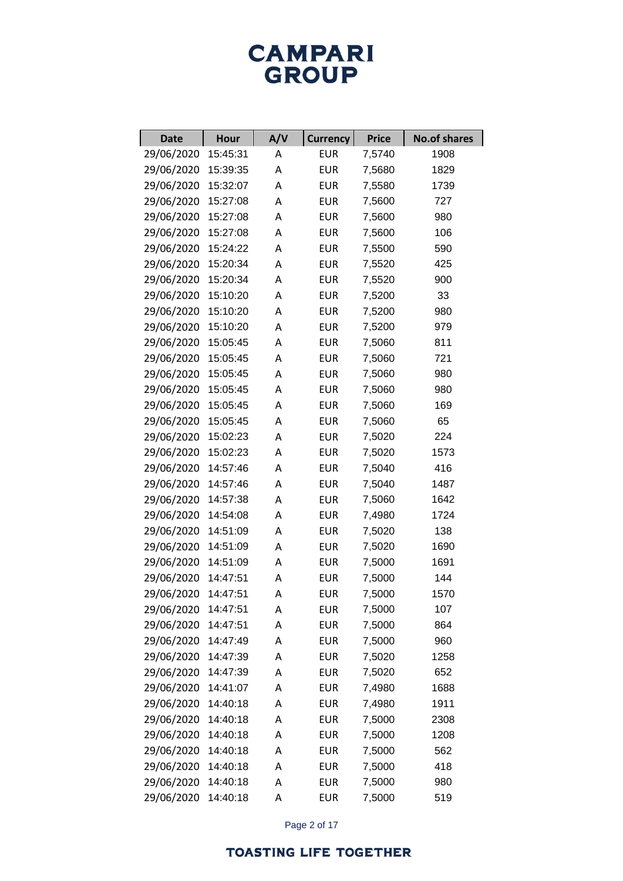| <b>Date</b> | <b>Hour</b> | A/V | <b>Currency</b> | <b>Price</b> | <b>No.of shares</b> |
|-------------|-------------|-----|-----------------|--------------|---------------------|
| 29/06/2020  | 15:45:31    | Α   | <b>EUR</b>      | 7,5740       | 1908                |
| 29/06/2020  | 15:39:35    | Α   | <b>EUR</b>      | 7,5680       | 1829                |
| 29/06/2020  | 15:32:07    | Α   | <b>EUR</b>      | 7,5580       | 1739                |
| 29/06/2020  | 15:27:08    | Α   | <b>EUR</b>      | 7,5600       | 727                 |
| 29/06/2020  | 15:27:08    | Α   | <b>EUR</b>      | 7,5600       | 980                 |
| 29/06/2020  | 15:27:08    | Α   | <b>EUR</b>      | 7,5600       | 106                 |
| 29/06/2020  | 15:24:22    | Α   | <b>EUR</b>      | 7,5500       | 590                 |
| 29/06/2020  | 15:20:34    | Α   | <b>EUR</b>      | 7,5520       | 425                 |
| 29/06/2020  | 15:20:34    | Α   | <b>EUR</b>      | 7,5520       | 900                 |
| 29/06/2020  | 15:10:20    | Α   | <b>EUR</b>      | 7,5200       | 33                  |
| 29/06/2020  | 15:10:20    | Α   | <b>EUR</b>      | 7,5200       | 980                 |
| 29/06/2020  | 15:10:20    | Α   | <b>EUR</b>      | 7,5200       | 979                 |
| 29/06/2020  | 15:05:45    | Α   | <b>EUR</b>      | 7,5060       | 811                 |
| 29/06/2020  | 15:05:45    | Α   | <b>EUR</b>      | 7,5060       | 721                 |
| 29/06/2020  | 15:05:45    | Α   | <b>EUR</b>      | 7,5060       | 980                 |
| 29/06/2020  | 15:05:45    | Α   | <b>EUR</b>      | 7,5060       | 980                 |
| 29/06/2020  | 15:05:45    | Α   | <b>EUR</b>      | 7,5060       | 169                 |
| 29/06/2020  | 15:05:45    | Α   | <b>EUR</b>      | 7,5060       | 65                  |
| 29/06/2020  | 15:02:23    | Α   | <b>EUR</b>      | 7,5020       | 224                 |
| 29/06/2020  | 15:02:23    | Α   | <b>EUR</b>      | 7,5020       | 1573                |
| 29/06/2020  | 14:57:46    | Α   | <b>EUR</b>      | 7,5040       | 416                 |
| 29/06/2020  | 14:57:46    | Α   | <b>EUR</b>      | 7,5040       | 1487                |
| 29/06/2020  | 14:57:38    | Α   | <b>EUR</b>      | 7,5060       | 1642                |
| 29/06/2020  | 14:54:08    | Α   | <b>EUR</b>      | 7,4980       | 1724                |
| 29/06/2020  | 14:51:09    | Α   | <b>EUR</b>      | 7,5020       | 138                 |
| 29/06/2020  | 14:51:09    | Α   | <b>EUR</b>      | 7,5020       | 1690                |
| 29/06/2020  | 14:51:09    | Α   | <b>EUR</b>      | 7,5000       | 1691                |
| 29/06/2020  | 14:47:51    | Α   | <b>EUR</b>      | 7,5000       | 144                 |
| 29/06/2020  | 14:47:51    | А   | <b>EUR</b>      | 7,5000       | 1570                |
| 29/06/2020  | 14:47:51    | А   | <b>EUR</b>      | 7,5000       | 107                 |
| 29/06/2020  | 14:47:51    | Α   | <b>EUR</b>      | 7,5000       | 864                 |
| 29/06/2020  | 14:47:49    | Α   | <b>EUR</b>      | 7,5000       | 960                 |
| 29/06/2020  | 14:47:39    | Α   | <b>EUR</b>      | 7,5020       | 1258                |
| 29/06/2020  | 14:47:39    | Α   | <b>EUR</b>      | 7,5020       | 652                 |
| 29/06/2020  | 14:41:07    | Α   | <b>EUR</b>      | 7,4980       | 1688                |
| 29/06/2020  | 14:40:18    | Α   | <b>EUR</b>      | 7,4980       | 1911                |
| 29/06/2020  | 14:40:18    | Α   | <b>EUR</b>      | 7,5000       | 2308                |
| 29/06/2020  | 14:40:18    | Α   | <b>EUR</b>      | 7,5000       | 1208                |
| 29/06/2020  | 14:40:18    | Α   | <b>EUR</b>      | 7,5000       | 562                 |
| 29/06/2020  | 14:40:18    | Α   | <b>EUR</b>      | 7,5000       | 418                 |
| 29/06/2020  | 14:40:18    | Α   | <b>EUR</b>      | 7,5000       | 980                 |
| 29/06/2020  | 14:40:18    | А   | <b>EUR</b>      | 7,5000       | 519                 |

Page 2 of 17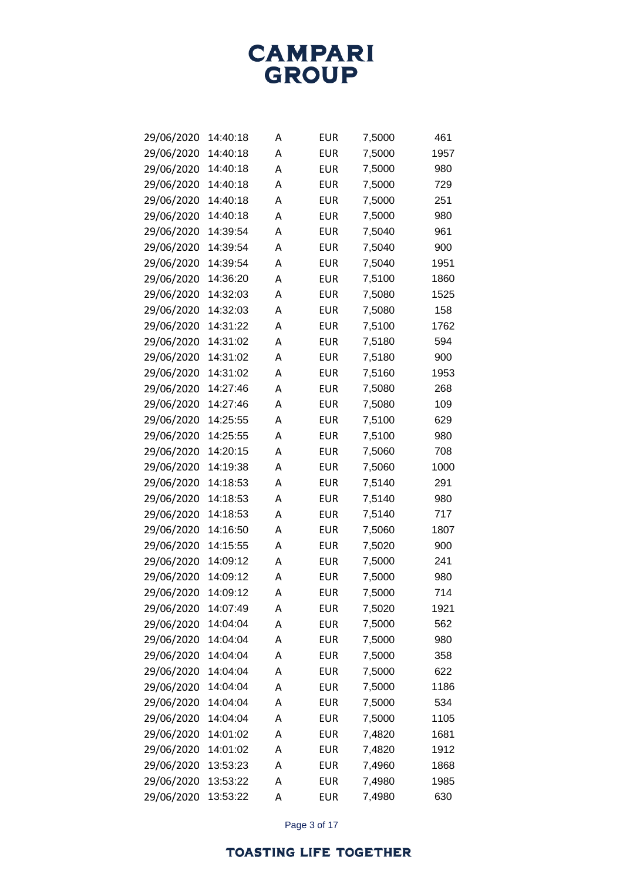

| 29/06/2020 | 14:40:18 | Α | EUR        | 7,5000 | 461  |
|------------|----------|---|------------|--------|------|
| 29/06/2020 | 14:40:18 | Α | <b>EUR</b> | 7,5000 | 1957 |
| 29/06/2020 | 14:40:18 | А | <b>EUR</b> | 7,5000 | 980  |
| 29/06/2020 | 14:40:18 | A | EUR        | 7,5000 | 729  |
| 29/06/2020 | 14:40:18 | А | <b>EUR</b> | 7,5000 | 251  |
| 29/06/2020 | 14:40:18 | A | EUR        | 7,5000 | 980  |
| 29/06/2020 | 14:39:54 | А | EUR        | 7,5040 | 961  |
| 29/06/2020 | 14:39:54 | A | EUR        | 7,5040 | 900  |
| 29/06/2020 | 14:39:54 | A | EUR        | 7,5040 | 1951 |
| 29/06/2020 | 14:36:20 | A | EUR        | 7,5100 | 1860 |
| 29/06/2020 | 14:32:03 | А | <b>EUR</b> | 7,5080 | 1525 |
| 29/06/2020 | 14:32:03 | A | EUR        | 7,5080 | 158  |
| 29/06/2020 | 14:31:22 | А | EUR        | 7,5100 | 1762 |
| 29/06/2020 | 14:31:02 | A | <b>EUR</b> | 7,5180 | 594  |
| 29/06/2020 | 14:31:02 | А | <b>EUR</b> | 7,5180 | 900  |
| 29/06/2020 | 14:31:02 | A | <b>EUR</b> | 7,5160 | 1953 |
| 29/06/2020 | 14:27:46 | A | <b>EUR</b> | 7,5080 | 268  |
| 29/06/2020 | 14:27:46 | A | EUR        | 7,5080 | 109  |
| 29/06/2020 | 14:25:55 | A | EUR        | 7,5100 | 629  |
| 29/06/2020 | 14:25:55 | A | EUR        | 7,5100 | 980  |
| 29/06/2020 | 14:20:15 | A | EUR        | 7,5060 | 708  |
| 29/06/2020 | 14:19:38 | A | EUR        | 7,5060 | 1000 |
| 29/06/2020 | 14:18:53 | Α | EUR        | 7,5140 | 291  |
| 29/06/2020 | 14:18:53 | A | EUR        | 7,5140 | 980  |
| 29/06/2020 | 14:18:53 | A | EUR        | 7,5140 | 717  |
| 29/06/2020 | 14:16:50 | A | <b>EUR</b> | 7,5060 | 1807 |
| 29/06/2020 | 14:15:55 | A | <b>EUR</b> | 7,5020 | 900  |
| 29/06/2020 | 14:09:12 | А | EUR        | 7,5000 | 241  |
| 29/06/2020 | 14:09:12 | A | <b>EUR</b> | 7,5000 | 980  |
| 29/06/2020 | 14:09:12 | Α | EUR        | 7,5000 | 714  |
| 29/06/2020 | 14:07:49 | Α | <b>EUR</b> | 7,5020 | 1921 |
| 29/06/2020 | 14:04:04 | Α | <b>EUR</b> | 7,5000 | 562  |
| 29/06/2020 | 14:04:04 | А | <b>EUR</b> | 7,5000 | 980  |
| 29/06/2020 | 14:04:04 | А | <b>EUR</b> | 7,5000 | 358  |
| 29/06/2020 | 14:04:04 | А | <b>EUR</b> | 7,5000 | 622  |
| 29/06/2020 | 14:04:04 | А | <b>EUR</b> | 7,5000 | 1186 |
| 29/06/2020 | 14:04:04 | А | <b>EUR</b> | 7,5000 | 534  |
| 29/06/2020 | 14:04:04 | А | <b>EUR</b> | 7,5000 | 1105 |
| 29/06/2020 | 14:01:02 | А | <b>EUR</b> | 7,4820 | 1681 |
| 29/06/2020 | 14:01:02 | А | <b>EUR</b> | 7,4820 | 1912 |
| 29/06/2020 | 13:53:23 | А | <b>EUR</b> | 7,4960 | 1868 |
| 29/06/2020 | 13:53:22 | Α | <b>EUR</b> | 7,4980 | 1985 |
| 29/06/2020 | 13:53:22 | Α | <b>EUR</b> | 7,4980 | 630  |

Page 3 of 17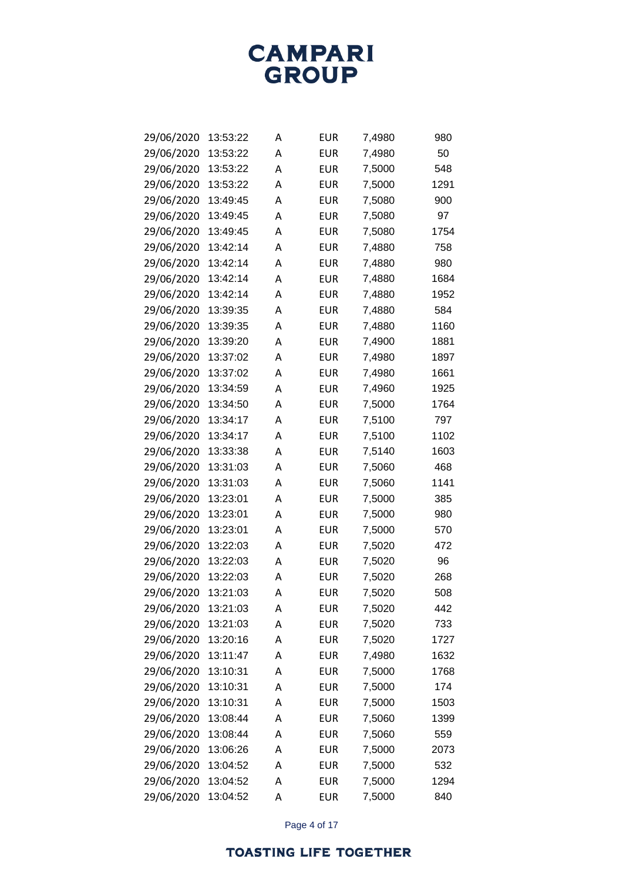| 29/06/2020 | 13:53:22 | А | EUR        | 7,4980 | 980  |
|------------|----------|---|------------|--------|------|
| 29/06/2020 | 13:53:22 | Α | EUR        | 7,4980 | 50   |
| 29/06/2020 | 13:53:22 | А | EUR        | 7,5000 | 548  |
| 29/06/2020 | 13:53:22 | A | EUR        | 7,5000 | 1291 |
| 29/06/2020 | 13:49:45 | А | EUR        | 7,5080 | 900  |
| 29/06/2020 | 13:49:45 | А | EUR        | 7,5080 | 97   |
| 29/06/2020 | 13:49:45 | А | EUR        | 7,5080 | 1754 |
| 29/06/2020 | 13:42:14 | A | EUR        | 7,4880 | 758  |
| 29/06/2020 | 13:42:14 | А | EUR        | 7,4880 | 980  |
| 29/06/2020 | 13:42:14 | А | EUR        | 7,4880 | 1684 |
| 29/06/2020 | 13:42:14 | А | EUR        | 7,4880 | 1952 |
| 29/06/2020 | 13:39:35 | A | EUR        | 7,4880 | 584  |
| 29/06/2020 | 13:39:35 | А | EUR        | 7,4880 | 1160 |
| 29/06/2020 | 13:39:20 | А | EUR        | 7,4900 | 1881 |
| 29/06/2020 | 13:37:02 | А | EUR        | 7,4980 | 1897 |
| 29/06/2020 | 13:37:02 | A | EUR        | 7,4980 | 1661 |
| 29/06/2020 | 13:34:59 | А | EUR        | 7,4960 | 1925 |
| 29/06/2020 | 13:34:50 | Α | EUR        | 7,5000 | 1764 |
| 29/06/2020 | 13:34:17 | Α | EUR        | 7,5100 | 797  |
| 29/06/2020 | 13:34:17 | A | EUR        | 7,5100 | 1102 |
| 29/06/2020 | 13:33:38 | А | EUR        | 7,5140 | 1603 |
| 29/06/2020 | 13:31:03 | Α | EUR        | 7,5060 | 468  |
| 29/06/2020 | 13:31:03 | Α | EUR        | 7,5060 | 1141 |
| 29/06/2020 | 13:23:01 | A | EUR        | 7,5000 | 385  |
| 29/06/2020 | 13:23:01 | А | EUR        | 7,5000 | 980  |
| 29/06/2020 | 13:23:01 | А | EUR        | 7,5000 | 570  |
| 29/06/2020 | 13:22:03 | А | EUR        | 7,5020 | 472  |
| 29/06/2020 | 13:22:03 | A | EUR        | 7,5020 | 96   |
| 29/06/2020 | 13:22:03 | А | EUR        | 7,5020 | 268  |
| 29/06/2020 | 13:21:03 | Α | EUR        | 7,5020 | 508  |
| 29/06/2020 | 13:21:03 | Α | <b>EUR</b> | 7,5020 | 442  |
| 29/06/2020 | 13:21:03 | Α | <b>EUR</b> | 7,5020 | 733  |
| 29/06/2020 | 13:20:16 | Α | <b>EUR</b> | 7,5020 | 1727 |
| 29/06/2020 | 13:11:47 | A | <b>EUR</b> | 7,4980 | 1632 |
| 29/06/2020 | 13:10:31 | А | <b>EUR</b> | 7,5000 | 1768 |
| 29/06/2020 | 13:10:31 | A | <b>EUR</b> | 7,5000 | 174  |
| 29/06/2020 | 13:10:31 | А | <b>EUR</b> | 7,5000 | 1503 |
| 29/06/2020 | 13:08:44 | A | <b>EUR</b> | 7,5060 | 1399 |
| 29/06/2020 | 13:08:44 | А | <b>EUR</b> | 7,5060 | 559  |
| 29/06/2020 | 13:06:26 | A | <b>EUR</b> | 7,5000 | 2073 |
| 29/06/2020 | 13:04:52 | А | <b>EUR</b> | 7,5000 | 532  |
| 29/06/2020 | 13:04:52 | Α | <b>EUR</b> | 7,5000 | 1294 |
| 29/06/2020 | 13:04:52 | А | <b>EUR</b> | 7,5000 | 840  |

Page 4 of 17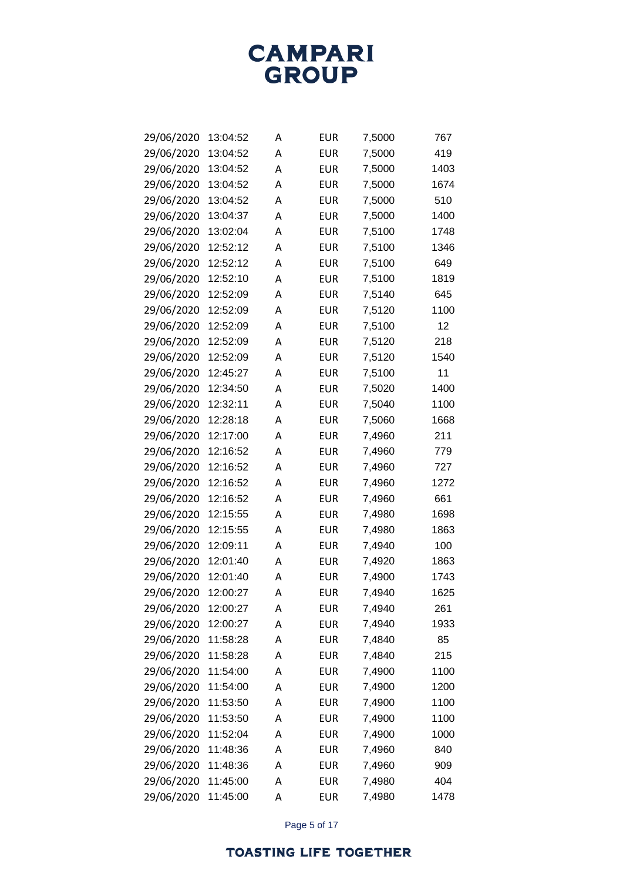

| 29/06/2020 | 13:04:52 | Α | EUR        | 7,5000 | 767  |
|------------|----------|---|------------|--------|------|
| 29/06/2020 | 13:04:52 | A | <b>EUR</b> | 7,5000 | 419  |
| 29/06/2020 | 13:04:52 | А | EUR        | 7,5000 | 1403 |
| 29/06/2020 | 13:04:52 | А | EUR        | 7,5000 | 1674 |
| 29/06/2020 | 13:04:52 | А | EUR        | 7,5000 | 510  |
| 29/06/2020 | 13:04:37 | A | EUR        | 7,5000 | 1400 |
| 29/06/2020 | 13:02:04 | А | EUR        | 7,5100 | 1748 |
| 29/06/2020 | 12:52:12 | A | EUR        | 7,5100 | 1346 |
| 29/06/2020 | 12:52:12 | A | EUR        | 7,5100 | 649  |
| 29/06/2020 | 12:52:10 | A | <b>EUR</b> | 7,5100 | 1819 |
| 29/06/2020 | 12:52:09 | А | EUR        | 7,5140 | 645  |
| 29/06/2020 | 12:52:09 | A | EUR        | 7,5120 | 1100 |
| 29/06/2020 | 12:52:09 | А | EUR        | 7,5100 | 12   |
| 29/06/2020 | 12:52:09 | A | <b>EUR</b> | 7,5120 | 218  |
| 29/06/2020 | 12:52:09 | А | <b>EUR</b> | 7,5120 | 1540 |
| 29/06/2020 | 12:45:27 | A | EUR        | 7,5100 | 11   |
| 29/06/2020 | 12:34:50 | A | EUR        | 7,5020 | 1400 |
| 29/06/2020 | 12:32:11 | A | EUR        | 7,5040 | 1100 |
| 29/06/2020 | 12:28:18 | Α | <b>EUR</b> | 7,5060 | 1668 |
| 29/06/2020 | 12:17:00 | A | EUR        | 7,4960 | 211  |
| 29/06/2020 | 12:16:52 | A | EUR        | 7,4960 | 779  |
| 29/06/2020 | 12:16:52 | A | EUR        | 7,4960 | 727  |
| 29/06/2020 | 12:16:52 | Α | <b>EUR</b> | 7,4960 | 1272 |
| 29/06/2020 | 12:16:52 | A | EUR        | 7,4960 | 661  |
| 29/06/2020 | 12:15:55 | A | EUR        | 7,4980 | 1698 |
| 29/06/2020 | 12:15:55 | A | <b>EUR</b> | 7,4980 | 1863 |
| 29/06/2020 | 12:09:11 | Α | <b>EUR</b> | 7,4940 | 100  |
| 29/06/2020 | 12:01:40 | A | <b>EUR</b> | 7,4920 | 1863 |
| 29/06/2020 | 12:01:40 | A | EUR        | 7,4900 | 1743 |
| 29/06/2020 | 12:00:27 | A | <b>EUR</b> | 7,4940 | 1625 |
| 29/06/2020 | 12:00:27 | Α | <b>EUR</b> | 7,4940 | 261  |
| 29/06/2020 | 12:00:27 | A | <b>EUR</b> | 7,4940 | 1933 |
| 29/06/2020 | 11:58:28 | A | <b>EUR</b> | 7,4840 | 85   |
| 29/06/2020 | 11:58:28 | А | <b>EUR</b> | 7,4840 | 215  |
| 29/06/2020 | 11:54:00 | А | <b>EUR</b> | 7,4900 | 1100 |
| 29/06/2020 | 11:54:00 | А | <b>EUR</b> | 7,4900 | 1200 |
| 29/06/2020 | 11:53:50 | А | <b>EUR</b> | 7,4900 | 1100 |
| 29/06/2020 | 11:53:50 | А | <b>EUR</b> | 7,4900 | 1100 |
| 29/06/2020 | 11:52:04 | А | <b>EUR</b> | 7,4900 | 1000 |
| 29/06/2020 | 11:48:36 | А | <b>EUR</b> | 7,4960 | 840  |
| 29/06/2020 | 11:48:36 | А | <b>EUR</b> | 7,4960 | 909  |
| 29/06/2020 | 11:45:00 | Α | <b>EUR</b> | 7,4980 | 404  |
| 29/06/2020 | 11:45:00 | Α | <b>EUR</b> | 7,4980 | 1478 |

Page 5 of 17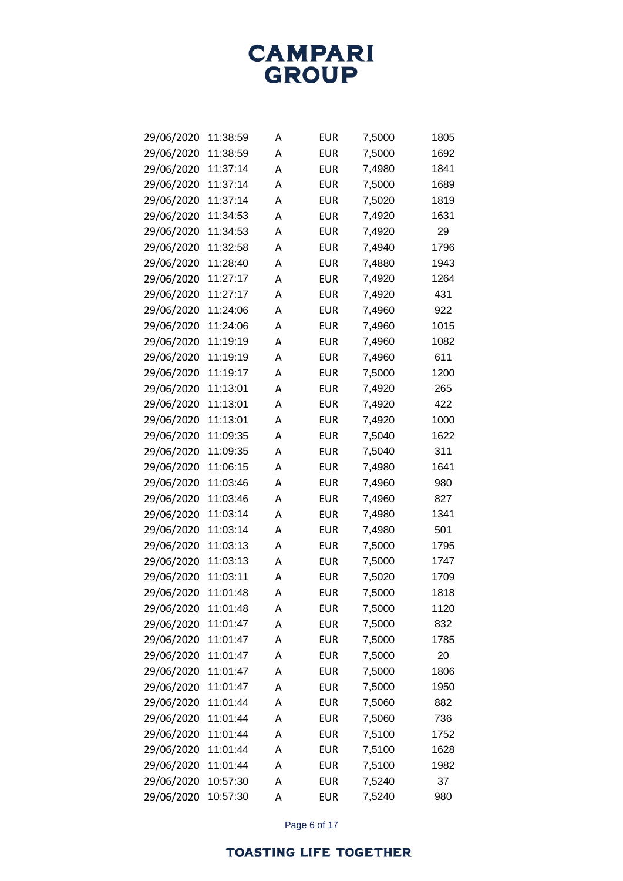**CAMPARI**<br>GROUP

| 29/06/2020 | 11:38:59 | А | EUR        | 7,5000 | 1805 |
|------------|----------|---|------------|--------|------|
| 29/06/2020 | 11:38:59 | А | EUR        | 7,5000 | 1692 |
| 29/06/2020 | 11:37:14 | Α | <b>EUR</b> | 7,4980 | 1841 |
| 29/06/2020 | 11:37:14 | A | EUR        | 7,5000 | 1689 |
| 29/06/2020 | 11:37:14 | A | EUR        | 7,5020 | 1819 |
| 29/06/2020 | 11:34:53 | А | EUR        | 7,4920 | 1631 |
| 29/06/2020 | 11:34:53 | Α | <b>EUR</b> | 7,4920 | 29   |
| 29/06/2020 | 11:32:58 | А | EUR        | 7,4940 | 1796 |
| 29/06/2020 | 11:28:40 | A | EUR        | 7,4880 | 1943 |
| 29/06/2020 | 11:27:17 | A | EUR        | 7,4920 | 1264 |
| 29/06/2020 | 11:27:17 | A | <b>EUR</b> | 7,4920 | 431  |
| 29/06/2020 | 11:24:06 | А | EUR        | 7,4960 | 922  |
| 29/06/2020 | 11:24:06 | A | EUR        | 7,4960 | 1015 |
| 29/06/2020 | 11:19:19 | A | EUR        | 7,4960 | 1082 |
| 29/06/2020 | 11:19:19 | A | <b>EUR</b> | 7,4960 | 611  |
| 29/06/2020 | 11:19:17 | Α | <b>EUR</b> | 7,5000 | 1200 |
| 29/06/2020 | 11:13:01 | A | EUR        | 7,4920 | 265  |
| 29/06/2020 | 11:13:01 | Α | EUR        | 7,4920 | 422  |
| 29/06/2020 | 11:13:01 | A | EUR        | 7,4920 | 1000 |
| 29/06/2020 | 11:09:35 | Α | <b>EUR</b> | 7,5040 | 1622 |
| 29/06/2020 | 11:09:35 | A | EUR        | 7,5040 | 311  |
| 29/06/2020 | 11:06:15 | Α | EUR        | 7,4980 | 1641 |
| 29/06/2020 | 11:03:46 | A | EUR        | 7,4960 | 980  |
| 29/06/2020 | 11:03:46 | Α | <b>EUR</b> | 7,4960 | 827  |
| 29/06/2020 | 11:03:14 | A | EUR        | 7,4980 | 1341 |
| 29/06/2020 | 11:03:14 | A | EUR        | 7,4980 | 501  |
| 29/06/2020 | 11:03:13 | A | EUR        | 7,5000 | 1795 |
| 29/06/2020 | 11:03:13 | Α | EUR        | 7,5000 | 1747 |
| 29/06/2020 | 11:03:11 | A | EUR        | 7,5020 | 1709 |
| 29/06/2020 | 11:01:48 | Α | EUR        | 7,5000 | 1818 |
| 29/06/2020 | 11:01:48 | Α | <b>EUR</b> | 7,5000 | 1120 |
| 29/06/2020 | 11:01:47 | Α | <b>EUR</b> | 7,5000 | 832  |
| 29/06/2020 | 11:01:47 | Α | <b>EUR</b> | 7,5000 | 1785 |
| 29/06/2020 | 11:01:47 | A | <b>EUR</b> | 7,5000 | 20   |
| 29/06/2020 | 11:01:47 | А | <b>EUR</b> | 7,5000 | 1806 |
| 29/06/2020 | 11:01:47 | Α | <b>EUR</b> | 7,5000 | 1950 |
| 29/06/2020 | 11:01:44 | А | <b>EUR</b> | 7,5060 | 882  |
| 29/06/2020 | 11:01:44 | A | <b>EUR</b> | 7,5060 | 736  |
| 29/06/2020 | 11:01:44 | А | <b>EUR</b> | 7,5100 | 1752 |
| 29/06/2020 | 11:01:44 | A | <b>EUR</b> | 7,5100 | 1628 |
| 29/06/2020 | 11:01:44 | А | <b>EUR</b> | 7,5100 | 1982 |
| 29/06/2020 | 10:57:30 | A | <b>EUR</b> | 7,5240 | 37   |
| 29/06/2020 | 10:57:30 | Α | <b>EUR</b> | 7,5240 | 980  |

Page 6 of 17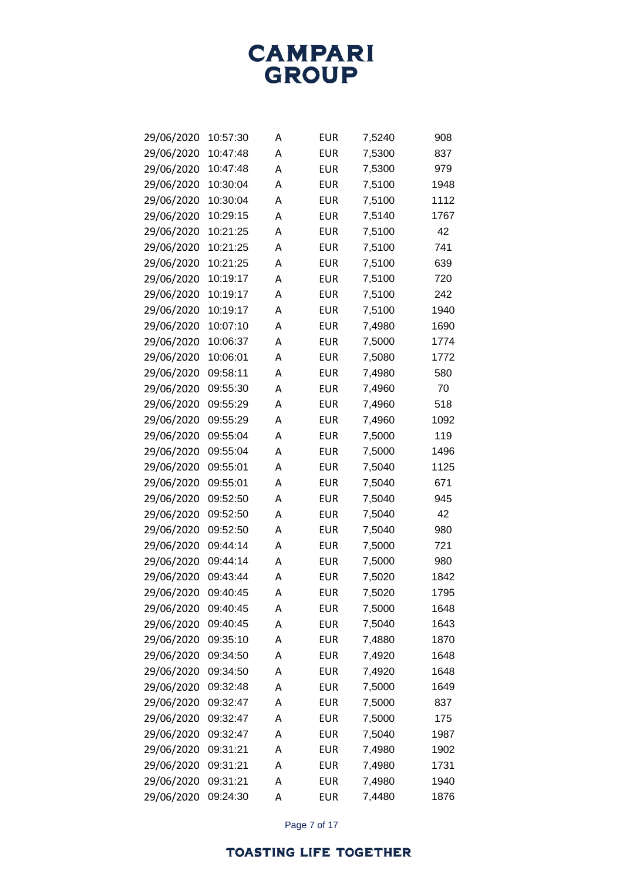| 29/06/2020 | 10:57:30 | А | <b>EUR</b> | 7,5240 | 908  |
|------------|----------|---|------------|--------|------|
| 29/06/2020 | 10:47:48 | A | EUR        | 7,5300 | 837  |
| 29/06/2020 | 10:47:48 | A | EUR        | 7,5300 | 979  |
| 29/06/2020 | 10:30:04 | A | EUR        | 7,5100 | 1948 |
| 29/06/2020 | 10:30:04 | A | EUR        | 7,5100 | 1112 |
| 29/06/2020 | 10:29:15 | A | EUR        | 7,5140 | 1767 |
| 29/06/2020 | 10:21:25 | A | EUR        | 7,5100 | 42   |
| 29/06/2020 | 10:21:25 | A | EUR        | 7,5100 | 741  |
| 29/06/2020 | 10:21:25 | A | <b>EUR</b> | 7,5100 | 639  |
| 29/06/2020 | 10:19:17 | A | <b>EUR</b> | 7,5100 | 720  |
| 29/06/2020 | 10:19:17 | A | EUR        | 7,5100 | 242  |
| 29/06/2020 | 10:19:17 | A | EUR        | 7,5100 | 1940 |
| 29/06/2020 | 10:07:10 | A | EUR        | 7,4980 | 1690 |
| 29/06/2020 | 10:06:37 | A | EUR        | 7,5000 | 1774 |
| 29/06/2020 | 10:06:01 | A | <b>EUR</b> | 7,5080 | 1772 |
| 29/06/2020 | 09:58:11 | A | <b>EUR</b> | 7,4980 | 580  |
| 29/06/2020 | 09:55:30 | A | EUR        | 7,4960 | 70   |
| 29/06/2020 | 09:55:29 | A | EUR        | 7,4960 | 518  |
| 29/06/2020 | 09:55:29 | A | EUR        | 7,4960 | 1092 |
| 29/06/2020 | 09:55:04 | Α | <b>EUR</b> | 7,5000 | 119  |
| 29/06/2020 | 09:55:04 | A | EUR        | 7,5000 | 1496 |
| 29/06/2020 | 09:55:01 | A | EUR        | 7,5040 | 1125 |
| 29/06/2020 | 09:55:01 | A | EUR        | 7,5040 | 671  |
| 29/06/2020 | 09:52:50 | Α | <b>EUR</b> | 7,5040 | 945  |
| 29/06/2020 | 09:52:50 | A | EUR        | 7,5040 | 42   |
| 29/06/2020 | 09:52:50 | A | EUR        | 7,5040 | 980  |
| 29/06/2020 | 09:44:14 | A | EUR        | 7,5000 | 721  |
| 29/06/2020 | 09:44:14 | A | <b>EUR</b> | 7,5000 | 980  |
| 29/06/2020 | 09:43:44 | A | EUR        | 7,5020 | 1842 |
| 29/06/2020 | 09:40:45 | А | EUR        | 7,5020 | 1795 |
| 29/06/2020 | 09:40:45 | А | <b>EUR</b> | 7,5000 | 1648 |
| 29/06/2020 | 09:40:45 | Α | <b>EUR</b> | 7,5040 | 1643 |
| 29/06/2020 | 09:35:10 | Α | <b>EUR</b> | 7,4880 | 1870 |
| 29/06/2020 | 09:34:50 | Α | <b>EUR</b> | 7,4920 | 1648 |
| 29/06/2020 | 09:34:50 | Α | <b>EUR</b> | 7,4920 | 1648 |
| 29/06/2020 | 09:32:48 | Α | <b>EUR</b> | 7,5000 | 1649 |
| 29/06/2020 | 09:32:47 | Α | <b>EUR</b> | 7,5000 | 837  |
| 29/06/2020 | 09:32:47 | Α | <b>EUR</b> | 7,5000 | 175  |
| 29/06/2020 | 09:32:47 | Α | <b>EUR</b> | 7,5040 | 1987 |
| 29/06/2020 | 09:31:21 | Α | <b>EUR</b> | 7,4980 | 1902 |
| 29/06/2020 | 09:31:21 | А | <b>EUR</b> | 7,4980 | 1731 |
| 29/06/2020 | 09:31:21 | Α | <b>EUR</b> | 7,4980 | 1940 |
| 29/06/2020 | 09:24:30 | Α | <b>EUR</b> | 7,4480 | 1876 |

Page 7 of 17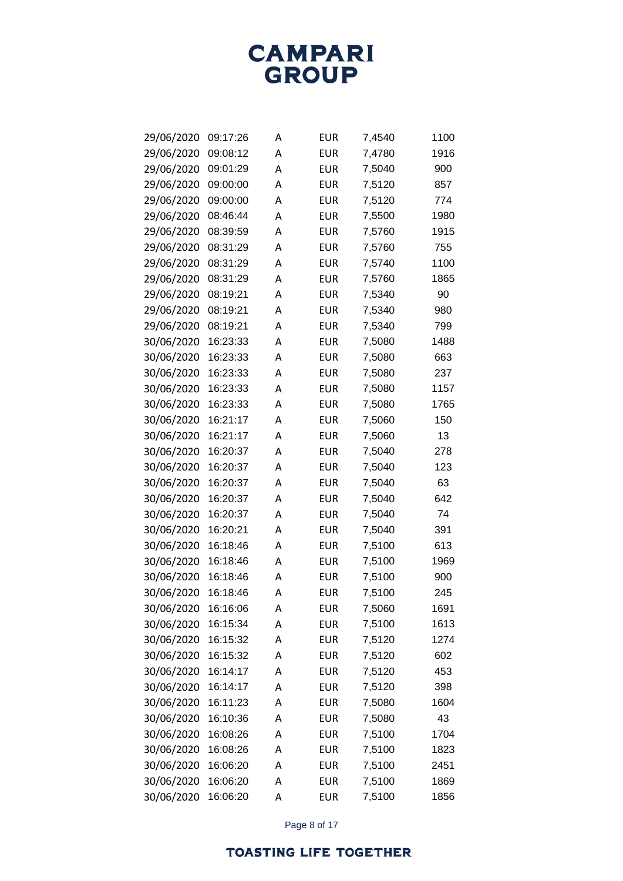

| 29/06/2020 | 09:17:26 | А | <b>EUR</b> | 7,4540 | 1100 |
|------------|----------|---|------------|--------|------|
| 29/06/2020 | 09:08:12 | Α | EUR        | 7,4780 | 1916 |
| 29/06/2020 | 09:01:29 | A | EUR        | 7,5040 | 900  |
| 29/06/2020 | 09:00:00 | A | EUR        | 7,5120 | 857  |
| 29/06/2020 | 09:00:00 | A | EUR        | 7,5120 | 774  |
| 29/06/2020 | 08:46:44 | Α | EUR        | 7,5500 | 1980 |
| 29/06/2020 | 08:39:59 | A | EUR        | 7,5760 | 1915 |
| 29/06/2020 | 08:31:29 | A | EUR        | 7,5760 | 755  |
| 29/06/2020 | 08:31:29 | A | EUR        | 7,5740 | 1100 |
| 29/06/2020 | 08:31:29 | A | EUR        | 7,5760 | 1865 |
| 29/06/2020 | 08:19:21 | A | EUR        | 7,5340 | 90   |
| 29/06/2020 | 08:19:21 | A | EUR        | 7,5340 | 980  |
| 29/06/2020 | 08:19:21 | A | EUR        | 7,5340 | 799  |
| 30/06/2020 | 16:23:33 | A | EUR        | 7,5080 | 1488 |
| 30/06/2020 | 16:23:33 | A | <b>EUR</b> | 7,5080 | 663  |
| 30/06/2020 | 16:23:33 | A | EUR        | 7,5080 | 237  |
| 30/06/2020 | 16:23:33 | A | EUR        | 7,5080 | 1157 |
| 30/06/2020 | 16:23:33 | A | EUR        | 7,5080 | 1765 |
| 30/06/2020 | 16:21:17 | A | EUR        | 7,5060 | 150  |
| 30/06/2020 | 16:21:17 | A | EUR        | 7,5060 | 13   |
| 30/06/2020 | 16:20:37 | A | EUR        | 7,5040 | 278  |
| 30/06/2020 | 16:20:37 | A | EUR        | 7,5040 | 123  |
| 30/06/2020 | 16:20:37 | Α | EUR        | 7,5040 | 63   |
| 30/06/2020 | 16:20:37 | A | EUR        | 7,5040 | 642  |
| 30/06/2020 | 16:20:37 | A | EUR        | 7,5040 | 74   |
| 30/06/2020 | 16:20:21 | A | EUR        | 7,5040 | 391  |
| 30/06/2020 | 16:18:46 | A | EUR        | 7,5100 | 613  |
| 30/06/2020 | 16:18:46 | A | EUR        | 7,5100 | 1969 |
| 30/06/2020 | 16:18:46 | Α | <b>EUR</b> | 7,5100 | 900  |
| 30/06/2020 | 16:18:46 | Α | <b>EUR</b> | 7,5100 | 245  |
| 30/06/2020 | 16:16:06 | А | <b>EUR</b> | 7,5060 | 1691 |
| 30/06/2020 | 16:15:34 | Α | <b>EUR</b> | 7,5100 | 1613 |
| 30/06/2020 | 16:15:32 | Α | <b>EUR</b> | 7,5120 | 1274 |
| 30/06/2020 | 16:15:32 | A | <b>EUR</b> | 7,5120 | 602  |
| 30/06/2020 | 16:14:17 | Α | <b>EUR</b> | 7,5120 | 453  |
| 30/06/2020 | 16:14:17 | A | <b>EUR</b> | 7,5120 | 398  |
| 30/06/2020 | 16:11:23 | A | <b>EUR</b> | 7,5080 | 1604 |
| 30/06/2020 | 16:10:36 | A | <b>EUR</b> | 7,5080 | 43   |
| 30/06/2020 | 16:08:26 | Α | <b>EUR</b> | 7,5100 | 1704 |
| 30/06/2020 | 16:08:26 | Α | <b>EUR</b> | 7,5100 | 1823 |
| 30/06/2020 | 16:06:20 | А | <b>EUR</b> | 7,5100 | 2451 |
| 30/06/2020 | 16:06:20 | Α | <b>EUR</b> | 7,5100 | 1869 |
| 30/06/2020 | 16:06:20 | А | <b>EUR</b> | 7,5100 | 1856 |

Page 8 of 17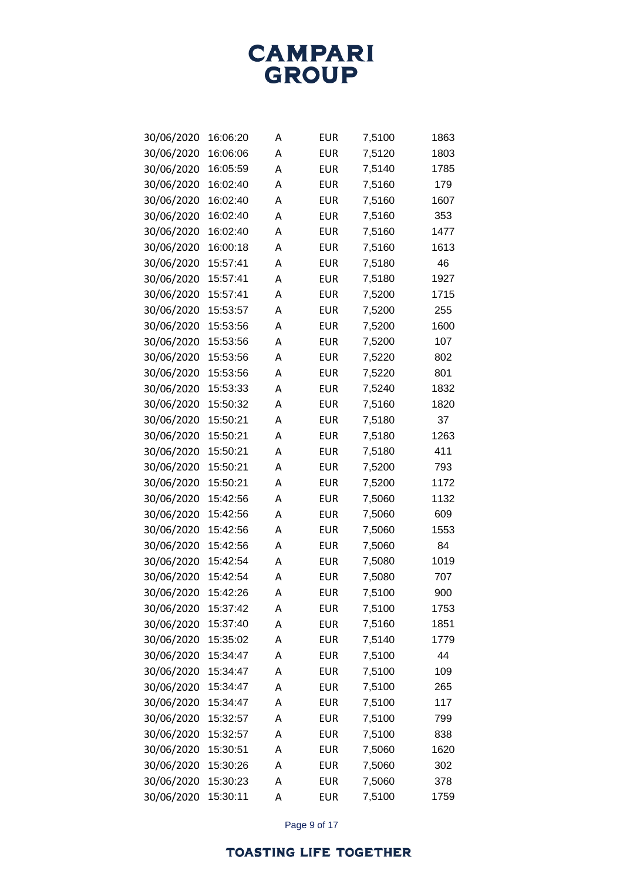

| 30/06/2020 | 16:06:20 | A | EUR        | 7,5100 | 1863 |
|------------|----------|---|------------|--------|------|
| 30/06/2020 | 16:06:06 | A | EUR        | 7,5120 | 1803 |
| 30/06/2020 | 16:05:59 | A | <b>EUR</b> | 7,5140 | 1785 |
| 30/06/2020 | 16:02:40 | A | <b>EUR</b> | 7,5160 | 179  |
| 30/06/2020 | 16:02:40 | A | <b>EUR</b> | 7,5160 | 1607 |
| 30/06/2020 | 16:02:40 | A | EUR        | 7,5160 | 353  |
| 30/06/2020 | 16:02:40 | A | <b>EUR</b> | 7,5160 | 1477 |
| 30/06/2020 | 16:00:18 | A | <b>EUR</b> | 7,5160 | 1613 |
| 30/06/2020 | 15:57:41 | A | <b>EUR</b> | 7,5180 | 46   |
| 30/06/2020 | 15:57:41 | A | <b>EUR</b> | 7,5180 | 1927 |
| 30/06/2020 | 15:57:41 | A | <b>EUR</b> | 7,5200 | 1715 |
| 30/06/2020 | 15:53:57 | А | <b>EUR</b> | 7,5200 | 255  |
| 30/06/2020 | 15:53:56 | A | <b>EUR</b> | 7,5200 | 1600 |
| 30/06/2020 | 15:53:56 | Α | <b>EUR</b> | 7,5200 | 107  |
| 30/06/2020 | 15:53:56 | A | <b>EUR</b> | 7,5220 | 802  |
| 30/06/2020 | 15:53:56 | A | <b>EUR</b> | 7,5220 | 801  |
| 30/06/2020 | 15:53:33 | A | <b>EUR</b> | 7,5240 | 1832 |
| 30/06/2020 | 15:50:32 | Α | <b>EUR</b> | 7,5160 | 1820 |
| 30/06/2020 | 15:50:21 | Α | <b>EUR</b> | 7,5180 | 37   |
| 30/06/2020 | 15:50:21 | Α | <b>EUR</b> | 7,5180 | 1263 |
| 30/06/2020 | 15:50:21 | A | <b>EUR</b> | 7,5180 | 411  |
| 30/06/2020 | 15:50:21 | Α | <b>EUR</b> | 7,5200 | 793  |
| 30/06/2020 | 15:50:21 | Α | <b>EUR</b> | 7,5200 | 1172 |
| 30/06/2020 | 15:42:56 | Α | <b>EUR</b> | 7,5060 | 1132 |
| 30/06/2020 | 15:42:56 | A | <b>EUR</b> | 7,5060 | 609  |
| 30/06/2020 | 15:42:56 | Α | <b>EUR</b> | 7,5060 | 1553 |
| 30/06/2020 | 15:42:56 | Α | <b>EUR</b> | 7,5060 | 84   |
| 30/06/2020 | 15:42:54 | Α | <b>EUR</b> | 7,5080 | 1019 |
| 30/06/2020 | 15:42:54 | A | <b>EUR</b> | 7,5080 | 707  |
| 30/06/2020 | 15:42:26 | Α | <b>EUR</b> | 7,5100 | 900  |
| 30/06/2020 | 15:37:42 | Α | <b>EUR</b> | 7,5100 | 1753 |
| 30/06/2020 | 15:37:40 | Α | <b>EUR</b> | 7,5160 | 1851 |
| 30/06/2020 | 15:35:02 | А | <b>EUR</b> | 7,5140 | 1779 |
| 30/06/2020 | 15:34:47 | A | <b>EUR</b> | 7,5100 | 44   |
| 30/06/2020 | 15:34:47 | А | <b>EUR</b> | 7,5100 | 109  |
| 30/06/2020 | 15:34:47 | А | <b>EUR</b> | 7,5100 | 265  |
| 30/06/2020 | 15:34:47 | А | <b>EUR</b> | 7,5100 | 117  |
| 30/06/2020 | 15:32:57 | А | <b>EUR</b> | 7,5100 | 799  |
| 30/06/2020 | 15:32:57 | А | <b>EUR</b> | 7,5100 | 838  |
| 30/06/2020 | 15:30:51 | А | <b>EUR</b> | 7,5060 | 1620 |
| 30/06/2020 | 15:30:26 | А | <b>EUR</b> | 7,5060 | 302  |
| 30/06/2020 | 15:30:23 | А | <b>EUR</b> | 7,5060 | 378  |
| 30/06/2020 | 15:30:11 | Α | <b>EUR</b> | 7,5100 | 1759 |

Page 9 of 17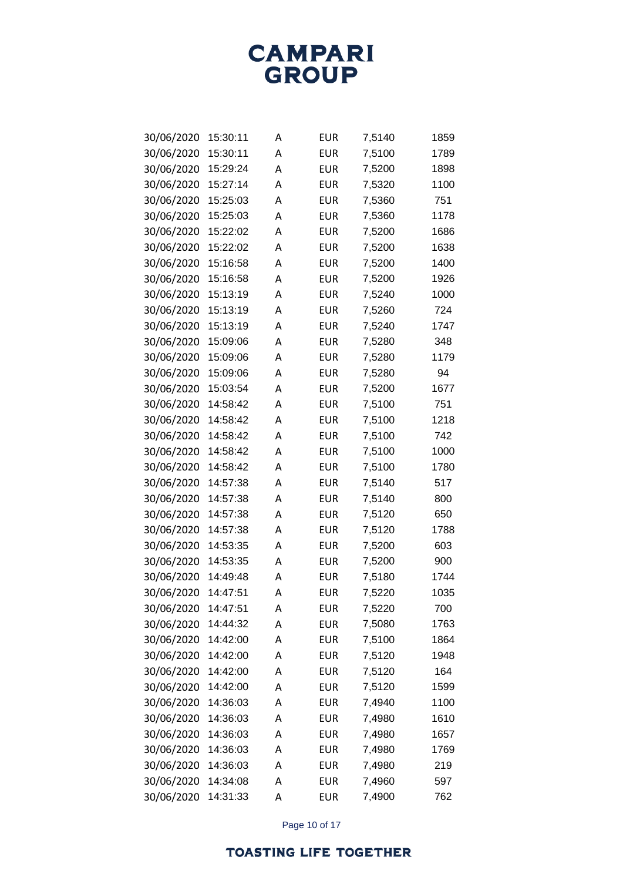

| 30/06/2020 | 15:30:11 | A | EUR        | 7,5140 | 1859 |
|------------|----------|---|------------|--------|------|
| 30/06/2020 | 15:30:11 | A | <b>EUR</b> | 7,5100 | 1789 |
| 30/06/2020 | 15:29:24 | A | EUR        | 7,5200 | 1898 |
| 30/06/2020 | 15:27:14 | A | EUR        | 7,5320 | 1100 |
| 30/06/2020 | 15:25:03 | A | <b>EUR</b> | 7,5360 | 751  |
| 30/06/2020 | 15:25:03 | A | EUR        | 7,5360 | 1178 |
| 30/06/2020 | 15:22:02 | A | <b>EUR</b> | 7,5200 | 1686 |
| 30/06/2020 | 15:22:02 | A | <b>EUR</b> | 7,5200 | 1638 |
| 30/06/2020 | 15:16:58 | A | <b>EUR</b> | 7,5200 | 1400 |
| 30/06/2020 | 15:16:58 | A | <b>EUR</b> | 7,5200 | 1926 |
| 30/06/2020 | 15:13:19 | A | <b>EUR</b> | 7,5240 | 1000 |
| 30/06/2020 | 15:13:19 | А | <b>EUR</b> | 7,5260 | 724  |
| 30/06/2020 | 15:13:19 | A | <b>EUR</b> | 7,5240 | 1747 |
| 30/06/2020 | 15:09:06 | A | <b>EUR</b> | 7,5280 | 348  |
| 30/06/2020 | 15:09:06 | A | <b>EUR</b> | 7,5280 | 1179 |
| 30/06/2020 | 15:09:06 | Α | <b>EUR</b> | 7,5280 | 94   |
| 30/06/2020 | 15:03:54 | A | <b>EUR</b> | 7,5200 | 1677 |
| 30/06/2020 | 14:58:42 | Α | <b>EUR</b> | 7,5100 | 751  |
| 30/06/2020 | 14:58:42 | Α | <b>EUR</b> | 7,5100 | 1218 |
| 30/06/2020 | 14:58:42 | Α | <b>EUR</b> | 7,5100 | 742  |
| 30/06/2020 | 14:58:42 | A | <b>EUR</b> | 7,5100 | 1000 |
| 30/06/2020 | 14:58:42 | Α | <b>EUR</b> | 7,5100 | 1780 |
| 30/06/2020 | 14:57:38 | Α | <b>EUR</b> | 7,5140 | 517  |
| 30/06/2020 | 14:57:38 | Α | <b>EUR</b> | 7,5140 | 800  |
| 30/06/2020 | 14:57:38 | A | <b>EUR</b> | 7,5120 | 650  |
| 30/06/2020 | 14:57:38 | Α | <b>EUR</b> | 7,5120 | 1788 |
| 30/06/2020 | 14:53:35 | Α | <b>EUR</b> | 7,5200 | 603  |
| 30/06/2020 | 14:53:35 | Α | <b>EUR</b> | 7,5200 | 900  |
| 30/06/2020 | 14:49:48 | A | <b>EUR</b> | 7,5180 | 1744 |
| 30/06/2020 | 14:47:51 | Α | <b>EUR</b> | 7,5220 | 1035 |
| 30/06/2020 | 14:47:51 | Α | <b>EUR</b> | 7,5220 | 700  |
| 30/06/2020 | 14:44:32 | Α | <b>EUR</b> | 7,5080 | 1763 |
| 30/06/2020 | 14:42:00 | А | <b>EUR</b> | 7,5100 | 1864 |
| 30/06/2020 | 14:42:00 | А | <b>EUR</b> | 7,5120 | 1948 |
| 30/06/2020 | 14:42:00 | А | <b>EUR</b> | 7,5120 | 164  |
| 30/06/2020 | 14:42:00 | А | <b>EUR</b> | 7,5120 | 1599 |
| 30/06/2020 | 14:36:03 | А | <b>EUR</b> | 7,4940 | 1100 |
| 30/06/2020 | 14:36:03 | А | <b>EUR</b> | 7,4980 | 1610 |
| 30/06/2020 | 14:36:03 | А | <b>EUR</b> | 7,4980 | 1657 |
| 30/06/2020 | 14:36:03 | А | <b>EUR</b> | 7,4980 | 1769 |
| 30/06/2020 | 14:36:03 | А | <b>EUR</b> | 7,4980 | 219  |
| 30/06/2020 | 14:34:08 | А | <b>EUR</b> | 7,4960 | 597  |
| 30/06/2020 | 14:31:33 | Α | <b>EUR</b> | 7,4900 | 762  |

Page 10 of 17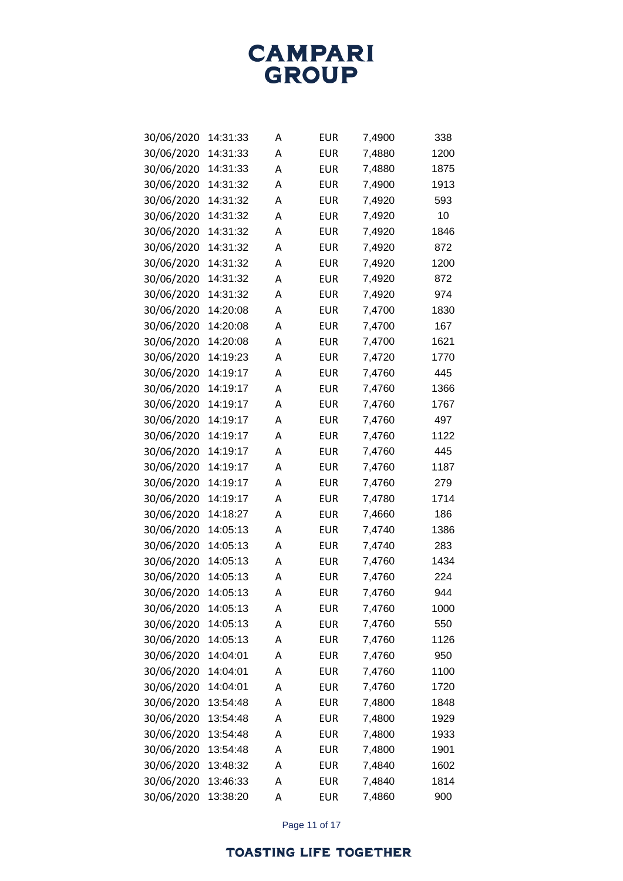**CAMPARI**<br>GROUP

| 30/06/2020 | 14:31:33 | А | EUR        | 7,4900 | 338  |
|------------|----------|---|------------|--------|------|
| 30/06/2020 | 14:31:33 | А | EUR        | 7,4880 | 1200 |
| 30/06/2020 | 14:31:33 | Α | EUR        | 7,4880 | 1875 |
| 30/06/2020 | 14:31:32 | А | EUR        | 7,4900 | 1913 |
| 30/06/2020 | 14:31:32 | A | EUR        | 7,4920 | 593  |
| 30/06/2020 | 14:31:32 | А | EUR        | 7,4920 | 10   |
| 30/06/2020 | 14:31:32 | Α | EUR        | 7,4920 | 1846 |
| 30/06/2020 | 14:31:32 | А | EUR        | 7,4920 | 872  |
| 30/06/2020 | 14:31:32 | A | <b>EUR</b> | 7,4920 | 1200 |
| 30/06/2020 | 14:31:32 | А | EUR        | 7,4920 | 872  |
| 30/06/2020 | 14:31:32 | Α | EUR        | 7,4920 | 974  |
| 30/06/2020 | 14:20:08 | А | EUR        | 7,4700 | 1830 |
| 30/06/2020 | 14:20:08 | A | EUR        | 7,4700 | 167  |
| 30/06/2020 | 14:20:08 | А | EUR        | 7,4700 | 1621 |
| 30/06/2020 | 14:19:23 | А | EUR        | 7,4720 | 1770 |
| 30/06/2020 | 14:19:17 | А | <b>EUR</b> | 7,4760 | 445  |
| 30/06/2020 | 14:19:17 | А | EUR        | 7,4760 | 1366 |
| 30/06/2020 | 14:19:17 | А | EUR        | 7,4760 | 1767 |
| 30/06/2020 | 14:19:17 | А | EUR        | 7,4760 | 497  |
| 30/06/2020 | 14:19:17 | А | EUR        | 7,4760 | 1122 |
| 30/06/2020 | 14:19:17 | А | EUR        | 7,4760 | 445  |
| 30/06/2020 | 14:19:17 | А | EUR        | 7,4760 | 1187 |
| 30/06/2020 | 14:19:17 | А | EUR        | 7,4760 | 279  |
| 30/06/2020 | 14:19:17 | A | EUR        | 7,4780 | 1714 |
| 30/06/2020 | 14:18:27 | А | EUR        | 7,4660 | 186  |
| 30/06/2020 | 14:05:13 | А | EUR        | 7,4740 | 1386 |
| 30/06/2020 | 14:05:13 | A | EUR        | 7,4740 | 283  |
| 30/06/2020 | 14:05:13 | A | EUR        | 7,4760 | 1434 |
| 30/06/2020 | 14:05:13 | A | EUR        | 7,4760 | 224  |
| 30/06/2020 | 14:05:13 | Α | EUR        | 7,4760 | 944  |
| 30/06/2020 | 14:05:13 | Α | <b>EUR</b> | 7,4760 | 1000 |
| 30/06/2020 | 14:05:13 | Α | <b>EUR</b> | 7,4760 | 550  |
| 30/06/2020 | 14:05:13 | А | <b>EUR</b> | 7,4760 | 1126 |
| 30/06/2020 | 14:04:01 | Α | <b>EUR</b> | 7,4760 | 950  |
| 30/06/2020 | 14:04:01 | А | <b>EUR</b> | 7,4760 | 1100 |
| 30/06/2020 | 14:04:01 | А | <b>EUR</b> | 7,4760 | 1720 |
| 30/06/2020 | 13:54:48 | А | <b>EUR</b> | 7,4800 | 1848 |
| 30/06/2020 | 13:54:48 | Α | <b>EUR</b> | 7,4800 | 1929 |
| 30/06/2020 | 13:54:48 | А | <b>EUR</b> | 7,4800 | 1933 |
| 30/06/2020 | 13:54:48 | Α | <b>EUR</b> | 7,4800 | 1901 |
| 30/06/2020 | 13:48:32 | А | <b>EUR</b> | 7,4840 | 1602 |
| 30/06/2020 | 13:46:33 | А | <b>EUR</b> | 7,4840 | 1814 |
| 30/06/2020 | 13:38:20 | Α | <b>EUR</b> | 7,4860 | 900  |

Page 11 of 17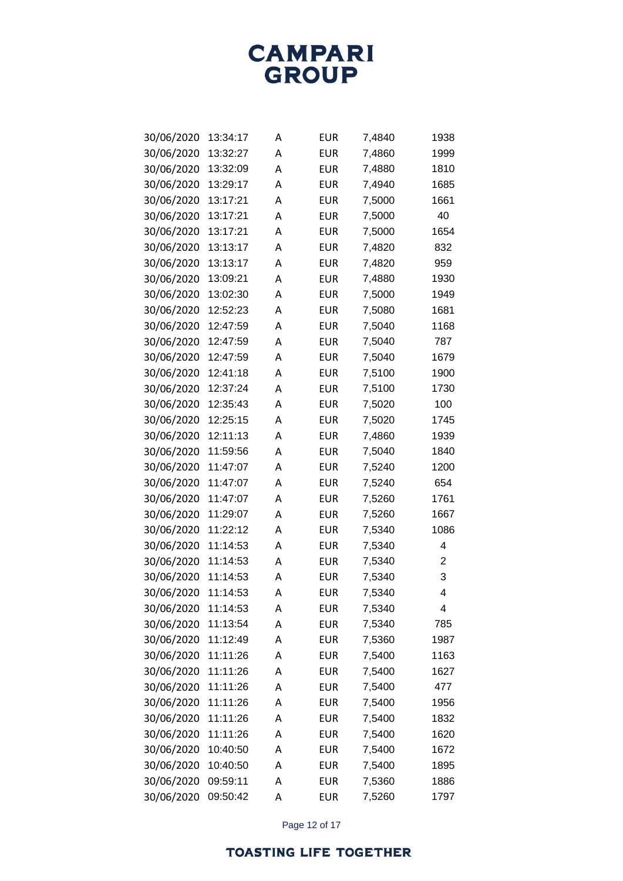

| 30/06/2020 | 13:34:17 | А | EUR        | 7,4840 | 1938 |
|------------|----------|---|------------|--------|------|
| 30/06/2020 | 13:32:27 | Α | EUR        | 7,4860 | 1999 |
| 30/06/2020 | 13:32:09 | A | EUR        | 7,4880 | 1810 |
| 30/06/2020 | 13:29:17 | A | EUR        | 7,4940 | 1685 |
| 30/06/2020 | 13:17:21 | A | <b>EUR</b> | 7,5000 | 1661 |
| 30/06/2020 | 13:17:21 | A | EUR        | 7,5000 | 40   |
| 30/06/2020 | 13:17:21 | A | EUR        | 7,5000 | 1654 |
| 30/06/2020 | 13:13:17 | A | EUR        | 7,4820 | 832  |
| 30/06/2020 | 13:13:17 | A | <b>EUR</b> | 7,4820 | 959  |
| 30/06/2020 | 13:09:21 | A | EUR        | 7,4880 | 1930 |
| 30/06/2020 | 13:02:30 | A | EUR        | 7,5000 | 1949 |
| 30/06/2020 | 12:52:23 | A | EUR        | 7,5080 | 1681 |
| 30/06/2020 | 12:47:59 | A | EUR        | 7,5040 | 1168 |
| 30/06/2020 | 12:47:59 | A | EUR        | 7,5040 | 787  |
| 30/06/2020 | 12:47:59 | A | <b>EUR</b> | 7,5040 | 1679 |
| 30/06/2020 | 12:41:18 | А | <b>EUR</b> | 7,5100 | 1900 |
| 30/06/2020 | 12:37:24 | A | EUR        | 7,5100 | 1730 |
| 30/06/2020 | 12:35:43 | A | EUR        | 7,5020 | 100  |
| 30/06/2020 | 12:25:15 | A | EUR        | 7,5020 | 1745 |
| 30/06/2020 | 12:11:13 | А | EUR        | 7,4860 | 1939 |
| 30/06/2020 | 11:59:56 | А | EUR        | 7,5040 | 1840 |
| 30/06/2020 | 11:47:07 | A | EUR        | 7,5240 | 1200 |
| 30/06/2020 | 11:47:07 | A | EUR        | 7,5240 | 654  |
| 30/06/2020 | 11:47:07 | А | EUR        | 7,5260 | 1761 |
| 30/06/2020 | 11:29:07 | А | EUR        | 7,5260 | 1667 |
| 30/06/2020 | 11:22:12 | A | EUR        | 7,5340 | 1086 |
| 30/06/2020 | 11:14:53 | A | <b>EUR</b> | 7,5340 | 4    |
| 30/06/2020 | 11:14:53 | А | EUR        | 7,5340 | 2    |
| 30/06/2020 | 11:14:53 | А | EUR        | 7,5340 | 3    |
| 30/06/2020 | 11:14:53 | А | EUR        | 7,5340 | 4    |
| 30/06/2020 | 11:14:53 | Α | EUR        | 7,5340 | 4    |
| 30/06/2020 | 11:13:54 | A | <b>EUR</b> | 7,5340 | 785  |
| 30/06/2020 | 11:12:49 | A | <b>EUR</b> | 7,5360 | 1987 |
| 30/06/2020 | 11:11:26 | A | <b>EUR</b> | 7,5400 | 1163 |
| 30/06/2020 | 11:11:26 | A | <b>EUR</b> | 7,5400 | 1627 |
| 30/06/2020 | 11:11:26 | A | <b>EUR</b> | 7,5400 | 477  |
| 30/06/2020 | 11:11:26 | A | <b>EUR</b> | 7,5400 | 1956 |
| 30/06/2020 | 11:11:26 | A | EUR        | 7,5400 | 1832 |
| 30/06/2020 | 11:11:26 | A | <b>EUR</b> | 7,5400 | 1620 |
| 30/06/2020 | 10:40:50 | A | <b>EUR</b> | 7,5400 | 1672 |
| 30/06/2020 | 10:40:50 | A | <b>EUR</b> | 7,5400 | 1895 |
| 30/06/2020 | 09:59:11 | Α | <b>EUR</b> | 7,5360 | 1886 |
| 30/06/2020 | 09:50:42 | Α | <b>EUR</b> | 7,5260 | 1797 |

Page 12 of 17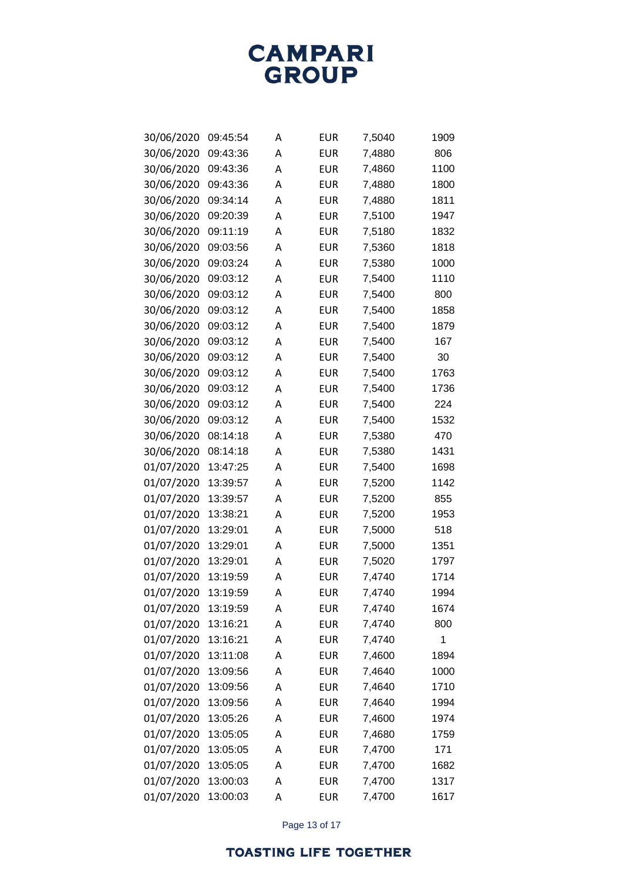

| 30/06/2020 | 09:45:54 | A | EUR        | 7,5040 | 1909 |
|------------|----------|---|------------|--------|------|
| 30/06/2020 | 09:43:36 | А | EUR        | 7,4880 | 806  |
| 30/06/2020 | 09:43:36 | Α | EUR        | 7,4860 | 1100 |
| 30/06/2020 | 09:43:36 | A | EUR        | 7,4880 | 1800 |
| 30/06/2020 | 09:34:14 | A | EUR        | 7,4880 | 1811 |
| 30/06/2020 | 09:20:39 | A | EUR        | 7,5100 | 1947 |
| 30/06/2020 | 09:11:19 | Α | EUR        | 7,5180 | 1832 |
| 30/06/2020 | 09:03:56 | A | <b>EUR</b> | 7,5360 | 1818 |
| 30/06/2020 | 09:03:24 | A | <b>EUR</b> | 7,5380 | 1000 |
| 30/06/2020 | 09:03:12 | A | EUR        | 7,5400 | 1110 |
| 30/06/2020 | 09:03:12 | Α | EUR        | 7,5400 | 800  |
| 30/06/2020 | 09:03:12 | A | EUR        | 7,5400 | 1858 |
| 30/06/2020 | 09:03:12 | Α | EUR        | 7,5400 | 1879 |
| 30/06/2020 | 09:03:12 | A | EUR        | 7,5400 | 167  |
| 30/06/2020 | 09:03:12 | Α | <b>EUR</b> | 7,5400 | 30   |
| 30/06/2020 | 09:03:12 | A | EUR        | 7,5400 | 1763 |
| 30/06/2020 | 09:03:12 | A | EUR        | 7,5400 | 1736 |
| 30/06/2020 | 09:03:12 | A | EUR        | 7,5400 | 224  |
| 30/06/2020 | 09:03:12 | A | <b>EUR</b> | 7,5400 | 1532 |
| 30/06/2020 | 08:14:18 | A | EUR        | 7,5380 | 470  |
| 30/06/2020 | 08:14:18 | A | EUR        | 7,5380 | 1431 |
| 01/07/2020 | 13:47:25 | A | EUR        | 7,5400 | 1698 |
| 01/07/2020 | 13:39:57 | A | EUR        | 7,5200 | 1142 |
| 01/07/2020 | 13:39:57 | A | EUR        | 7,5200 | 855  |
| 01/07/2020 | 13:38:21 | A | EUR        | 7,5200 | 1953 |
| 01/07/2020 | 13:29:01 | A | EUR        | 7,5000 | 518  |
| 01/07/2020 | 13:29:01 | A | EUR        | 7,5000 | 1351 |
| 01/07/2020 | 13:29:01 | A | EUR        | 7,5020 | 1797 |
| 01/07/2020 | 13:19:59 | A | <b>EUR</b> | 7,4740 | 1714 |
| 01/07/2020 | 13:19:59 | A | <b>EUR</b> | 7,4740 | 1994 |
| 01/07/2020 | 13:19:59 | А | <b>EUR</b> | 7,4740 | 1674 |
| 01/07/2020 | 13:16:21 | A | <b>EUR</b> | 7,4740 | 800  |
| 01/07/2020 | 13:16:21 | Α | <b>EUR</b> | 7,4740 | 1    |
| 01/07/2020 | 13:11:08 | Α | <b>EUR</b> | 7,4600 | 1894 |
| 01/07/2020 | 13:09:56 | Α | <b>EUR</b> | 7,4640 | 1000 |
| 01/07/2020 | 13:09:56 | Α | <b>EUR</b> | 7,4640 | 1710 |
| 01/07/2020 | 13:09:56 | Α | <b>EUR</b> | 7,4640 | 1994 |
| 01/07/2020 | 13:05:26 | А | EUR        | 7,4600 | 1974 |
| 01/07/2020 | 13:05:05 | Α | <b>EUR</b> | 7,4680 | 1759 |
| 01/07/2020 | 13:05:05 | Α | <b>EUR</b> | 7,4700 | 171  |
| 01/07/2020 | 13:05:05 | Α | <b>EUR</b> | 7,4700 | 1682 |
| 01/07/2020 | 13:00:03 | А | <b>EUR</b> | 7,4700 | 1317 |
| 01/07/2020 | 13:00:03 | Α | <b>EUR</b> | 7,4700 | 1617 |

Page 13 of 17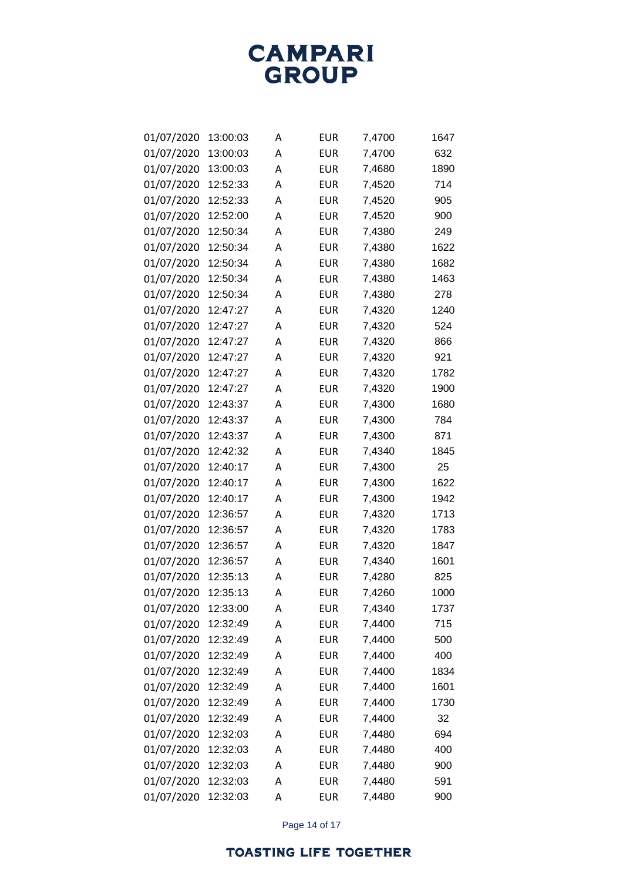

| 01/07/2020 | 13:00:03 | A | EUR        | 7,4700 | 1647 |
|------------|----------|---|------------|--------|------|
| 01/07/2020 | 13:00:03 | А | EUR        | 7,4700 | 632  |
| 01/07/2020 | 13:00:03 | A | EUR        | 7,4680 | 1890 |
| 01/07/2020 | 12:52:33 | A | EUR        | 7,4520 | 714  |
| 01/07/2020 | 12:52:33 | A | EUR        | 7,4520 | 905  |
| 01/07/2020 | 12:52:00 | A | EUR        | 7,4520 | 900  |
| 01/07/2020 | 12:50:34 | A | EUR        | 7,4380 | 249  |
| 01/07/2020 | 12:50:34 | A | EUR        | 7,4380 | 1622 |
| 01/07/2020 | 12:50:34 | A | <b>EUR</b> | 7,4380 | 1682 |
| 01/07/2020 | 12:50:34 | A | <b>EUR</b> | 7,4380 | 1463 |
| 01/07/2020 | 12:50:34 | A | EUR        | 7,4380 | 278  |
| 01/07/2020 | 12:47:27 | A | EUR        | 7,4320 | 1240 |
| 01/07/2020 | 12:47:27 | A | EUR        | 7,4320 | 524  |
| 01/07/2020 | 12:47:27 | A | <b>EUR</b> | 7,4320 | 866  |
| 01/07/2020 | 12:47:27 | A | <b>EUR</b> | 7,4320 | 921  |
| 01/07/2020 | 12:47:27 | A | EUR        | 7,4320 | 1782 |
| 01/07/2020 | 12:47:27 | A | EUR        | 7,4320 | 1900 |
| 01/07/2020 | 12:43:37 | A | EUR        | 7,4300 | 1680 |
| 01/07/2020 | 12:43:37 | A | EUR        | 7,4300 | 784  |
| 01/07/2020 | 12:43:37 | A | EUR        | 7,4300 | 871  |
| 01/07/2020 | 12:42:32 | A | EUR        | 7,4340 | 1845 |
| 01/07/2020 | 12:40:17 | A | EUR        | 7,4300 | 25   |
| 01/07/2020 | 12:40:17 | A | EUR        | 7,4300 | 1622 |
| 01/07/2020 | 12:40:17 | A | EUR        | 7,4300 | 1942 |
| 01/07/2020 | 12:36:57 | A | EUR        | 7,4320 | 1713 |
| 01/07/2020 | 12:36:57 | A | EUR        | 7,4320 | 1783 |
| 01/07/2020 | 12:36:57 | A | EUR        | 7,4320 | 1847 |
| 01/07/2020 | 12:36:57 | A | EUR        | 7,4340 | 1601 |
| 01/07/2020 | 12:35:13 | A | EUR        | 7,4280 | 825  |
| 01/07/2020 | 12:35:13 | А | EUR        | 7,4260 | 1000 |
| 01/07/2020 | 12:33:00 | А | <b>EUR</b> | 7,4340 | 1737 |
| 01/07/2020 | 12:32:49 | A | <b>EUR</b> | 7,4400 | 715  |
| 01/07/2020 | 12:32:49 | A | EUR        | 7,4400 | 500  |
| 01/07/2020 | 12:32:49 | A | EUR        | 7,4400 | 400  |
| 01/07/2020 | 12:32:49 | Α | EUR        | 7,4400 | 1834 |
| 01/07/2020 | 12:32:49 | A | <b>EUR</b> | 7,4400 | 1601 |
| 01/07/2020 | 12:32:49 | A | <b>EUR</b> | 7,4400 | 1730 |
| 01/07/2020 | 12:32:49 | A | EUR        | 7,4400 | 32   |
| 01/07/2020 | 12:32:03 | Α | <b>EUR</b> | 7,4480 | 694  |
| 01/07/2020 | 12:32:03 | Α | <b>EUR</b> | 7,4480 | 400  |
| 01/07/2020 | 12:32:03 | Α | <b>EUR</b> | 7,4480 | 900  |
| 01/07/2020 | 12:32:03 | А | EUR        | 7,4480 | 591  |
| 01/07/2020 | 12:32:03 | А | <b>EUR</b> | 7,4480 | 900  |

Page 14 of 17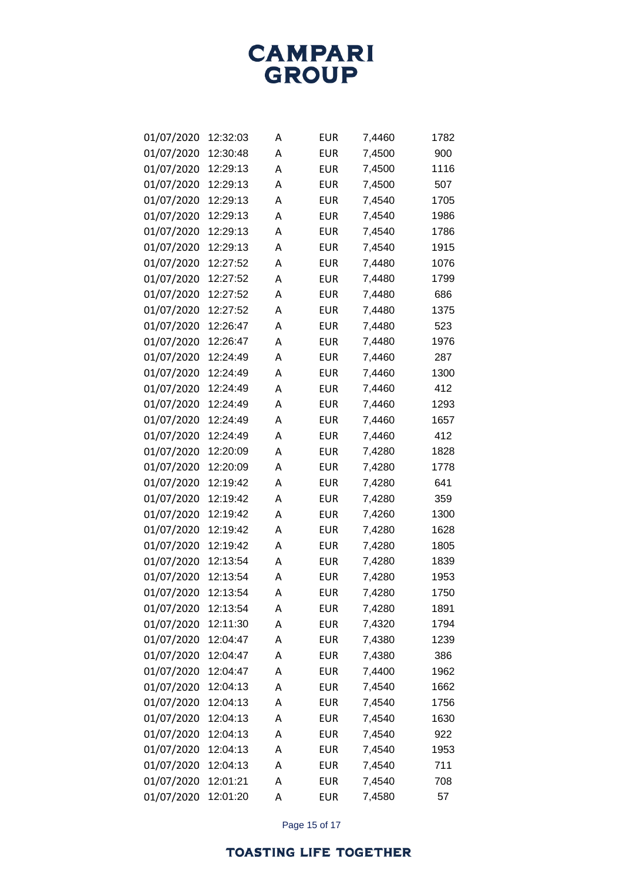**CAMPARI**<br>GROUP

| 01/07/2020 | 12:32:03 | А | <b>EUR</b> | 7,4460 | 1782 |
|------------|----------|---|------------|--------|------|
| 01/07/2020 | 12:30:48 | А | EUR        | 7,4500 | 900  |
| 01/07/2020 | 12:29:13 | А | EUR        | 7,4500 | 1116 |
| 01/07/2020 | 12:29:13 | Α | <b>EUR</b> | 7,4500 | 507  |
| 01/07/2020 | 12:29:13 | А | EUR        | 7,4540 | 1705 |
| 01/07/2020 | 12:29:13 | Α | EUR        | 7,4540 | 1986 |
| 01/07/2020 | 12:29:13 | Α | EUR        | 7,4540 | 1786 |
| 01/07/2020 | 12:29:13 | Α | EUR        | 7,4540 | 1915 |
| 01/07/2020 | 12:27:52 | А | <b>EUR</b> | 7,4480 | 1076 |
| 01/07/2020 | 12:27:52 | Α | EUR        | 7,4480 | 1799 |
| 01/07/2020 | 12:27:52 | А | EUR        | 7,4480 | 686  |
| 01/07/2020 | 12:27:52 | Α | EUR        | 7,4480 | 1375 |
| 01/07/2020 | 12:26:47 | А | EUR        | 7,4480 | 523  |
| 01/07/2020 | 12:26:47 | Α | EUR        | 7,4480 | 1976 |
| 01/07/2020 | 12:24:49 | Α | EUR        | 7,4460 | 287  |
| 01/07/2020 | 12:24:49 | А | EUR        | 7,4460 | 1300 |
| 01/07/2020 | 12:24:49 | А | EUR        | 7,4460 | 412  |
| 01/07/2020 | 12:24:49 | А | <b>EUR</b> | 7,4460 | 1293 |
| 01/07/2020 | 12:24:49 | Α | EUR        | 7,4460 | 1657 |
| 01/07/2020 | 12:24:49 | А | EUR        | 7,4460 | 412  |
| 01/07/2020 | 12:20:09 | А | EUR        | 7,4280 | 1828 |
| 01/07/2020 | 12:20:09 | А | EUR        | 7,4280 | 1778 |
| 01/07/2020 | 12:19:42 | Α | EUR        | 7,4280 | 641  |
| 01/07/2020 | 12:19:42 | А | EUR        | 7,4280 | 359  |
| 01/07/2020 | 12:19:42 | Α | EUR        | 7,4260 | 1300 |
| 01/07/2020 | 12:19:42 | А | EUR        | 7,4280 | 1628 |
| 01/07/2020 | 12:19:42 | Α | <b>EUR</b> | 7,4280 | 1805 |
| 01/07/2020 | 12:13:54 | А | EUR        | 7,4280 | 1839 |
| 01/07/2020 | 12:13:54 | А | EUR        | 7,4280 | 1953 |
| 01/07/2020 | 12:13:54 | Α | EUR        | 7,4280 | 1750 |
| 01/07/2020 | 12:13:54 | Α | <b>EUR</b> | 7,4280 | 1891 |
| 01/07/2020 | 12:11:30 | Α | <b>EUR</b> | 7,4320 | 1794 |
| 01/07/2020 | 12:04:47 | Α | <b>EUR</b> | 7,4380 | 1239 |
| 01/07/2020 | 12:04:47 | Α | <b>EUR</b> | 7,4380 | 386  |
| 01/07/2020 | 12:04:47 | Α | <b>EUR</b> | 7,4400 | 1962 |
| 01/07/2020 | 12:04:13 | Α | <b>EUR</b> | 7,4540 | 1662 |
| 01/07/2020 | 12:04:13 | Α | <b>EUR</b> | 7,4540 | 1756 |
| 01/07/2020 | 12:04:13 | Α | <b>EUR</b> | 7,4540 | 1630 |
| 01/07/2020 | 12:04:13 | А | <b>EUR</b> | 7,4540 | 922  |
| 01/07/2020 | 12:04:13 | Α | <b>EUR</b> | 7,4540 | 1953 |
| 01/07/2020 | 12:04:13 | Α | <b>EUR</b> | 7,4540 | 711  |
| 01/07/2020 | 12:01:21 | Α | <b>EUR</b> | 7,4540 | 708  |
| 01/07/2020 | 12:01:20 | Α | <b>EUR</b> | 7,4580 | 57   |

Page 15 of 17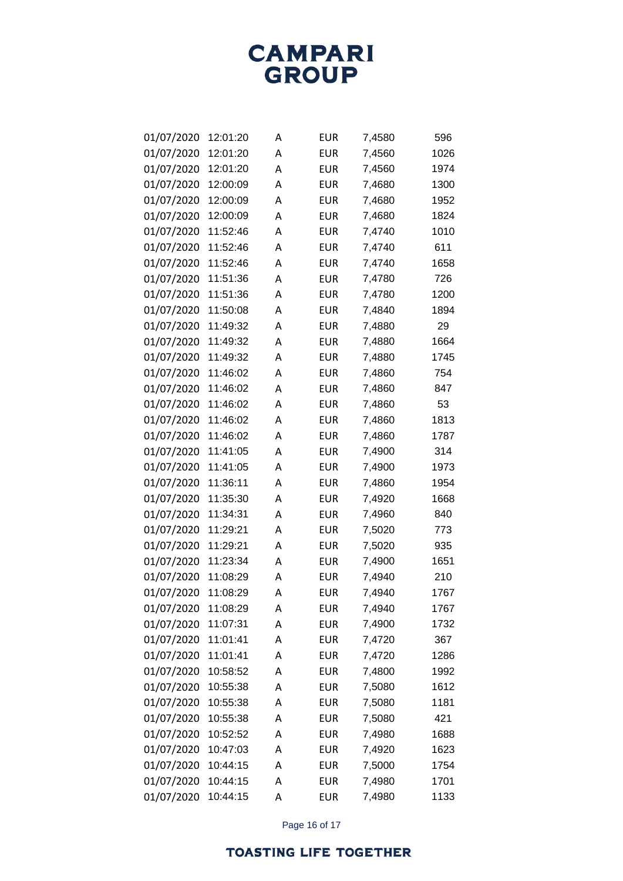| 01/07/2020 | 12:01:20 | А | EUR        | 7,4580 | 596  |
|------------|----------|---|------------|--------|------|
| 01/07/2020 | 12:01:20 | Α | EUR        | 7,4560 | 1026 |
| 01/07/2020 | 12:01:20 | Α | EUR        | 7,4560 | 1974 |
| 01/07/2020 | 12:00:09 | A | EUR        | 7,4680 | 1300 |
| 01/07/2020 | 12:00:09 | А | EUR        | 7,4680 | 1952 |
| 01/07/2020 | 12:00:09 | A | EUR        | 7,4680 | 1824 |
| 01/07/2020 | 11:52:46 | Α | EUR        | 7,4740 | 1010 |
| 01/07/2020 | 11:52:46 | A | <b>EUR</b> | 7,4740 | 611  |
| 01/07/2020 | 11:52:46 | А | EUR        | 7,4740 | 1658 |
| 01/07/2020 | 11:51:36 | A | <b>EUR</b> | 7,4780 | 726  |
| 01/07/2020 | 11:51:36 | Α | EUR        | 7,4780 | 1200 |
| 01/07/2020 | 11:50:08 | A | EUR        | 7,4840 | 1894 |
| 01/07/2020 | 11:49:32 | А | EUR        | 7,4880 | 29   |
| 01/07/2020 | 11:49:32 | А | EUR        | 7,4880 | 1664 |
| 01/07/2020 | 11:49:32 | Α | EUR        | 7,4880 | 1745 |
| 01/07/2020 | 11:46:02 | Α | <b>EUR</b> | 7,4860 | 754  |
| 01/07/2020 | 11:46:02 | А | EUR        | 7,4860 | 847  |
| 01/07/2020 | 11:46:02 | Α | <b>EUR</b> | 7,4860 | 53   |
| 01/07/2020 | 11:46:02 | Α | EUR        | 7,4860 | 1813 |
| 01/07/2020 | 11:46:02 | Α | EUR        | 7,4860 | 1787 |
| 01/07/2020 | 11:41:05 | А | EUR        | 7,4900 | 314  |
| 01/07/2020 | 11:41:05 | Α | EUR        | 7,4900 | 1973 |
| 01/07/2020 | 11:36:11 | Α | EUR        | 7,4860 | 1954 |
| 01/07/2020 | 11:35:30 | Α | EUR        | 7,4920 | 1668 |
| 01/07/2020 | 11:34:31 | А | EUR        | 7,4960 | 840  |
| 01/07/2020 | 11:29:21 | Α | EUR        | 7,5020 | 773  |
| 01/07/2020 | 11:29:21 | Α | EUR        | 7,5020 | 935  |
| 01/07/2020 | 11:23:34 | A | EUR        | 7,4900 | 1651 |
| 01/07/2020 | 11:08:29 | А | EUR        | 7,4940 | 210  |
| 01/07/2020 | 11:08:29 | Α | EUR        | 7,4940 | 1767 |
| 01/07/2020 | 11:08:29 | Α | <b>EUR</b> | 7,4940 | 1767 |
| 01/07/2020 | 11:07:31 | Α | <b>EUR</b> | 7,4900 | 1732 |
| 01/07/2020 | 11:01:41 | Α | <b>EUR</b> | 7,4720 | 367  |
| 01/07/2020 | 11:01:41 | Α | <b>EUR</b> | 7,4720 | 1286 |
| 01/07/2020 | 10:58:52 | А | <b>EUR</b> | 7,4800 | 1992 |
| 01/07/2020 | 10:55:38 | Α | <b>EUR</b> | 7,5080 | 1612 |
| 01/07/2020 | 10:55:38 | А | <b>EUR</b> | 7,5080 | 1181 |
| 01/07/2020 | 10:55:38 | Α | <b>EUR</b> | 7,5080 | 421  |
| 01/07/2020 | 10:52:52 | А | <b>EUR</b> | 7,4980 | 1688 |
| 01/07/2020 | 10:47:03 | Α | <b>EUR</b> | 7,4920 | 1623 |
| 01/07/2020 | 10:44:15 | А | <b>EUR</b> | 7,5000 | 1754 |
| 01/07/2020 | 10:44:15 | Α | <b>EUR</b> | 7,4980 | 1701 |
| 01/07/2020 | 10:44:15 | А | <b>EUR</b> | 7,4980 | 1133 |

Page 16 of 17